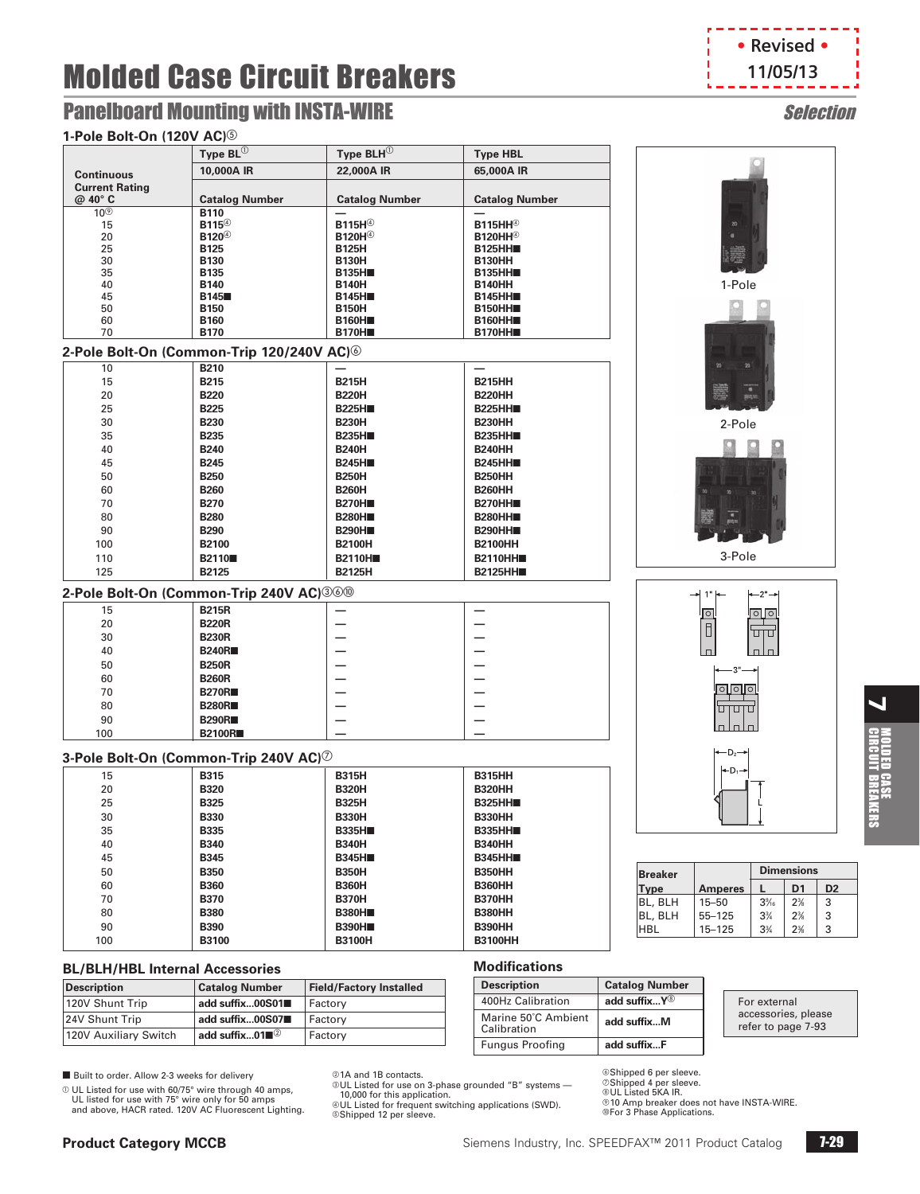# Panelboard Mounting with INSTA-WIRE Selection

### **1-Pole Bolt-On (120V AC)**



1-Pole

2-Pole

3-Pole

 $\circ$   $\circ$   $\circ$ Ū Ή  $\Box$ 

 $-2"$ ∣ा|ा

ن رن

 $1<sup>1</sup>$ 

 $\circ$  $\Box$ 

| 1-Pole Bolt-On (120V AC) <sup>5</sup>  |                                                                      |                                |                                       |                          |
|----------------------------------------|----------------------------------------------------------------------|--------------------------------|---------------------------------------|--------------------------|
|                                        | Type $BL^{(1)}$                                                      | Type $BLH^{(1)}$               | <b>Type HBL</b>                       |                          |
| <b>Continuous</b>                      | 10,000A IR                                                           | 22,000A IR                     | 65,000A IR                            |                          |
| <b>Current Rating</b>                  |                                                                      |                                |                                       |                          |
| @ 40° C                                | <b>Catalog Number</b>                                                | <b>Catalog Number</b>          | <b>Catalog Number</b>                 |                          |
| 10 <sup>③</sup>                        | <b>B110</b><br>B115 <sup>4</sup>                                     | B <sub>115H</sub> <sup>4</sup> | <b>B115HH</b> <sup><sup>®</sup></sup> |                          |
| 15<br>20                               | B120 <sup>4</sup>                                                    | <b>B120H</b> <sup>4</sup>      | <b>B120HH</b> <sup><sup>®</sup></sup> |                          |
| 25                                     | <b>B125</b>                                                          | <b>B125H</b>                   | <b>B125HH</b>                         |                          |
| 30                                     | <b>B130</b>                                                          | <b>B130H</b>                   | <b>B130HH</b>                         |                          |
| 35<br>40                               | <b>B135</b><br><b>B140</b>                                           | <b>B135H</b><br><b>B140H</b>   | <b>B135HH</b><br><b>B140HH</b>        |                          |
| 45                                     | <b>B145</b>                                                          | <b>B145H</b>                   | <b>B145HH</b>                         |                          |
| 50                                     | <b>B150</b>                                                          | <b>B150H</b>                   | B <sub>150</sub> HH                   |                          |
| 60                                     | <b>B160</b>                                                          | <b>B160H</b>                   | <b>B160HH</b>                         |                          |
| 70                                     | <b>B170</b><br>2-Pole Bolt-On (Common-Trip 120/240V AC) <sup>6</sup> | <b>B170H</b>                   | B170HH                                |                          |
| 10                                     | <b>B210</b>                                                          |                                |                                       |                          |
| 15                                     | <b>B215</b>                                                          | <b>B215H</b>                   | <b>B215HH</b>                         |                          |
| 20                                     | <b>B220</b>                                                          | <b>B220H</b>                   | <b>B220HH</b>                         |                          |
| 25                                     | <b>B225</b>                                                          | <b>B225H</b>                   | <b>B225HH</b>                         |                          |
| 30                                     | <b>B230</b>                                                          | <b>B230H</b>                   | <b>B230HH</b>                         |                          |
| 35                                     | <b>B235</b>                                                          | <b>B235H</b>                   | <b>B235HH</b>                         |                          |
| 40                                     | <b>B240</b>                                                          | <b>B240H</b>                   | <b>B240HH</b>                         |                          |
| 45                                     | <b>B245</b>                                                          | <b>B245H</b>                   | <b>B245HH</b>                         |                          |
| 50                                     | <b>B250</b>                                                          | <b>B250H</b>                   | <b>B250HH</b>                         |                          |
| 60                                     | <b>B260</b>                                                          | <b>B260H</b>                   | <b>B260HH</b>                         |                          |
| 70<br>80                               | <b>B270</b><br><b>B280</b>                                           | <b>B270H</b><br><b>B280H■</b>  | B270HH■<br><b>B280HH</b>              |                          |
| 90                                     | <b>B290</b>                                                          | <b>B290H</b>                   | B290HH■                               |                          |
| 100                                    | <b>B2100</b>                                                         | <b>B2100H</b>                  | <b>B2100HH</b>                        |                          |
| 110                                    | <b>B2110</b>                                                         | <b>B2110H</b>                  | <b>B2110HH</b>                        |                          |
| 125                                    | B2125                                                                | <b>B2125H</b>                  | <b>B2125HH</b>                        |                          |
|                                        | 2-Pole Bolt-On (Common-Trip 240V AC) 360                             |                                |                                       |                          |
| 15                                     | <b>B215R</b>                                                         |                                |                                       |                          |
| 20                                     | <b>B220R</b>                                                         |                                |                                       |                          |
| 30                                     | <b>B230R</b>                                                         |                                |                                       |                          |
| 40                                     | <b>B240R</b>                                                         |                                |                                       |                          |
| 50                                     | <b>B250R</b>                                                         |                                |                                       |                          |
| 60                                     | <b>B260R</b>                                                         |                                |                                       |                          |
| 70                                     | <b>B270R</b>                                                         |                                |                                       |                          |
| 80                                     | <b>B280R</b>                                                         |                                |                                       |                          |
| 90<br>100                              | <b>B290R</b><br><b>B2100R</b>                                        |                                |                                       |                          |
|                                        |                                                                      |                                |                                       |                          |
|                                        | 3-Pole Bolt-On (Common-Trip 240V AC) <sup>7</sup>                    |                                |                                       |                          |
| 15                                     | <b>B315</b>                                                          | <b>B315H</b>                   | <b>B315HH</b>                         |                          |
| 20<br>25                               | <b>B320</b><br><b>B325</b>                                           | <b>B320H</b><br><b>B325H</b>   | <b>B320HH</b><br><b>B325HH</b>        |                          |
| 30                                     | <b>B330</b>                                                          | <b>B330H</b>                   | <b>B330HH</b>                         |                          |
| 35                                     | <b>B335</b>                                                          | <b>B335H</b>                   | <b>B335HH■</b>                        |                          |
| 40                                     | <b>B340</b>                                                          | <b>B340H</b>                   | <b>B340HH</b>                         |                          |
| 45                                     | <b>B345</b>                                                          | <b>B345H</b>                   | <b>B345HH■</b>                        |                          |
| 50                                     | <b>B350</b>                                                          | <b>B350H</b>                   | <b>B350HH</b>                         | <b>Breaker</b>           |
| 60                                     | <b>B360</b>                                                          | <b>B360H</b>                   | <b>B360HH</b>                         | Type                     |
| 70                                     | <b>B370</b>                                                          | <b>B370H</b>                   | B370HH                                | BL, BLH                  |
| 80                                     | <b>B380</b>                                                          | <b>B380H</b>                   | <b>B380HH</b>                         | BL, BLH                  |
| 90                                     | <b>B390</b>                                                          | <b>B390H</b>                   | <b>B390HH</b>                         | HBL                      |
| 100                                    | B3100                                                                | <b>B3100H</b>                  | <b>B3100HH</b>                        |                          |
| <b>BL/BLH/HBL Internal Accessories</b> |                                                                      |                                | <b>Modifications</b>                  |                          |
| <b>Description</b>                     | <b>Catalog Number</b>                                                | <b>Field/Factory Installed</b> | <b>Description</b>                    | <b>Catalog Number</b>    |
| 120V Shunt Trip                        | add suffix00S01■                                                     | Factory                        | 400Hz Calibration                     | add suffixY <sup>®</sup> |

 $\blacktriangleleft$ 

■ Built to order. Allow 2-3 weeks for delivery

 $O$  UL Listed for use with 60/75° wire through 40 amps, UL listed for use with 75° wire only for 50 amps and above, HACR rated. 120V AC Fluorescent Lighting.

24V Shunt Trip **add suffix...00S07**n Factory 120V Auxiliary Switch **add suffix...01**<sup>2</sup> Factory

@1A and 1B contacts.

cUL Listed for use on 3-phase grounded "B" systems — 10,000 for this application.

Marine 50˚C Ambient

Marine 50 C Ambient **add suffix...M**<br>Calibration Fungus Proofing **add suffix...F**

dUL Listed for frequent switching applications (SWD). eShipped 12 per sleeve.

fShipped 6 per sleeve. gShipped 4 per sleeve. **OLIL Listed 5KA IR.** ®10 Amp breaker does not have INSTA-WIRE.<br>®For 3 Phase Applications.

**Dimensions**<br>**L** D1 **Type Amperes L D1 D2**  $\begin{array}{|c|c|c|}\n 15–50 & 3\% \\
55–125 & 3\% \\
\end{array}$  $2^{3}/6$ ⁄8 3 55–125  $2%$ ⁄8 3  $15-125$  3<sup>3</sup>/<sub>4</sub>  $2^{3}/6$ ⁄8 3

#### For external accessories, please refer to page 7-93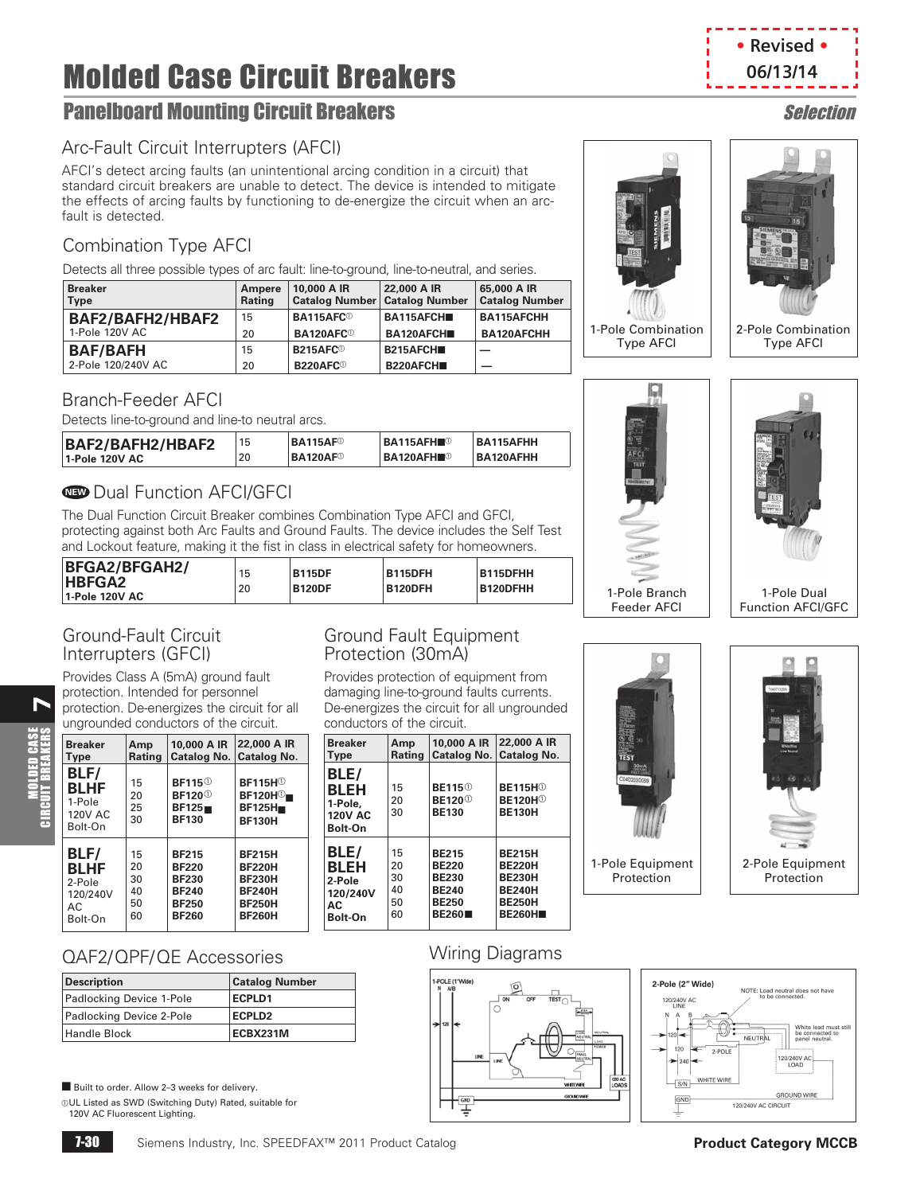# **Panelboard Mounting Circuit Breakers** Selection Selection

# Arc-Fault Circuit Interrupters (AFCI)

AFCI's detect arcing faults (an unintentional arcing condition in a circuit) that standard circuit breakers are unable to detect. The device is intended to mitigate the effects of arcing faults by functioning to de-energize the circuit when an arcfault is detected.

# Combination Type AFCI

Detects all three possible types of arc fault: line-to-ground, line-to-neutral, and series.

| <b>Breaker</b><br><b>Type</b> | Ampere<br><b>Rating</b> | 10,000 A IR                  | 22,000 A IR<br>Catalog Number   Catalog Number | 65,000 A IR<br><b>Catalog Number</b> |
|-------------------------------|-------------------------|------------------------------|------------------------------------------------|--------------------------------------|
| BAF2/BAFH2/HBAF2              | 15                      | BA115AFC <sup>®</sup>        | BA115AFCH                                      | BA115AFCHH                           |
| 1-Pole 120V AC                | 20                      | <b>BA120AFC</b> <sup>®</sup> | BA120AFCH                                      | <b>BA120AFCHH</b>                    |
| <b>BAF/BAFH</b>               | 15                      | B215AFC <sup>®</sup>         | <b>B215AFCH■</b>                               |                                      |
| 2-Pole 120/240V AC            | 20                      | B220AFC <sup>®</sup>         | B220AFCH                                       |                                      |

### Branch-Feeder AFCI

Detects line-to-ground and line-to neutral arcs.

| BAF2/BAFH2/HBAF2 |    | BA115AF <sup>0</sup>        | <b>BA115AFH</b> <sup>®</sup> | BA115AFHH |
|------------------|----|-----------------------------|------------------------------|-----------|
| 1-Pole 120V AC   | 20 | <b>BA120AF</b> <sup>®</sup> | 'BA120AFH■©                  | BA120AFHH |

# **ID** Dual Function AFCI/GFCI

The Dual Function Circuit Breaker combines Combination Type AFCI and GFCI, protecting against both Arc Faults and Ground Faults. The device includes the Self Test and Lockout feature, making it the fist in class in electrical safety for homeowners.

| <b>BFGA2/BFGAH2/</b><br><b>HBFGA2</b><br>  1-Pole 120V AC | 15<br>20 | <b>B115DF</b><br><b>B120DF</b> | <b>B115DFH</b><br><b>B120DFH</b> | <b>B115DFHH</b><br><b>B120DFHH</b> |
|-----------------------------------------------------------|----------|--------------------------------|----------------------------------|------------------------------------|
|-----------------------------------------------------------|----------|--------------------------------|----------------------------------|------------------------------------|

### Ground-Fault Circuit Interrupters (GFCI)

**7** 

MOLDED CASE CIRCUIT BREAKERS

Provides Class A (5mA) ground fault protection. Intended for personnel protection. De-energizes the circuit for all ungrounded conductors of the circuit.

| <b>Breaker</b>                                             | Amp                  | 10,000 A IR                                                          | 22,000 A IR                                                                                        |
|------------------------------------------------------------|----------------------|----------------------------------------------------------------------|----------------------------------------------------------------------------------------------------|
| Type                                                       | <b>Rating</b>        | Catalog No.                                                          | Catalog No.                                                                                        |
| BLF/<br><b>BLHF</b><br>1-Pole<br><b>120V AC</b><br>Bolt-On | 15<br>20<br>25<br>30 | <b>BF115</b> <sup>0</sup><br>BF120 $^\circ$<br>BF125<br><b>BF130</b> | <b>BF115H</b> <sup>1</sup><br>$\mathsf{BF120H}\textcircled{\textsf{T}}$<br>BF125H<br><b>BF130H</b> |
| BLF/                                                       | 15                   | <b>BF215</b>                                                         | <b>BF215H</b>                                                                                      |
| <b>BLHF</b>                                                | 20                   | <b>BF220</b>                                                         | <b>BF220H</b>                                                                                      |
| 2-Pole                                                     | 30                   | <b>BF230</b>                                                         | <b>BF230H</b>                                                                                      |
| 120/240V                                                   | 40                   | <b>BF240</b>                                                         | <b>BF240H</b>                                                                                      |
| AC.                                                        | 50                   | <b>BF250</b>                                                         | <b>BF250H</b>                                                                                      |
| Bolt-On                                                    | 60                   | <b>BF260</b>                                                         | <b>BF260H</b>                                                                                      |

### Ground Fault Equipment Protection (30mA)

Provides protection of equipment from damaging line-to-ground faults currents. De-energizes the circuit for all ungrounded conductors of the circuit.

| <b>Breaker</b>                                              | Amp            | 10,000 A IR                                                            | 22,000 A IR                                                                            |
|-------------------------------------------------------------|----------------|------------------------------------------------------------------------|----------------------------------------------------------------------------------------|
| <b>Type</b>                                                 | Rating         |                                                                        | Catalog No.   Catalog No.                                                              |
| BLE/<br><b>BLEH</b><br>1-Pole.<br><b>120V AC</b><br>Bolt-On | 15<br>20<br>30 | <b>BE115</b> <sup>0</sup><br><b>BE120</b> <sup>0</sup><br><b>BE130</b> | <b>BE115H</b> <sup>(1)</sup><br><b>BE120H</b> <sup><sup>0</sup></sup><br><b>BE130H</b> |
| BLE/                                                        | 15             | <b>BE215</b>                                                           | <b>BE215H</b>                                                                          |
| <b>BLEH</b>                                                 | 20             | <b>BE220</b>                                                           | <b>BE220H</b>                                                                          |
| 2-Pole                                                      | 30             | <b>BE230</b>                                                           | <b>BE230H</b>                                                                          |
| 120/240V                                                    | 40             | <b>BE240</b>                                                           | <b>BE240H</b>                                                                          |
| AC                                                          | 50             | <b>BE250</b>                                                           | <b>BE250H</b>                                                                          |
| Bolt-On                                                     | 60             | <b>BE260</b>                                                           | <b>BE260H</b>                                                                          |



1-Pole Equipment Protection



1-Pole Dual

2-Pole Equipment **Protection** 

NOTE: Load neutral does not have

240V/<br>۱ OAE

**GROUND WIRE** 

NEUTRAL

120/240V AC CIRCUIT

2-POL

White lead must stil<br>be connected to<br>panel neutral.

## QAF2/QPF/QE Accessories

| <b>Description</b>       | <b>Catalog Number</b> |
|--------------------------|-----------------------|
| Padlocking Device 1-Pole | <b>ECPLD1</b>         |
| Padlocking Device 2-Pole | <b>ECPLD2</b>         |
| Handle Block             | ECBX231M              |

■ Built to order. Allow 2–3 weeks for delivery.

aUL Listed as SWD (Switching Duty) Rated, suitable for 120V AC Fluorescent Lighting.

# Wiring Diagrams



**• Revised • 06/13/14**





1-Pole Combination Type AFCI



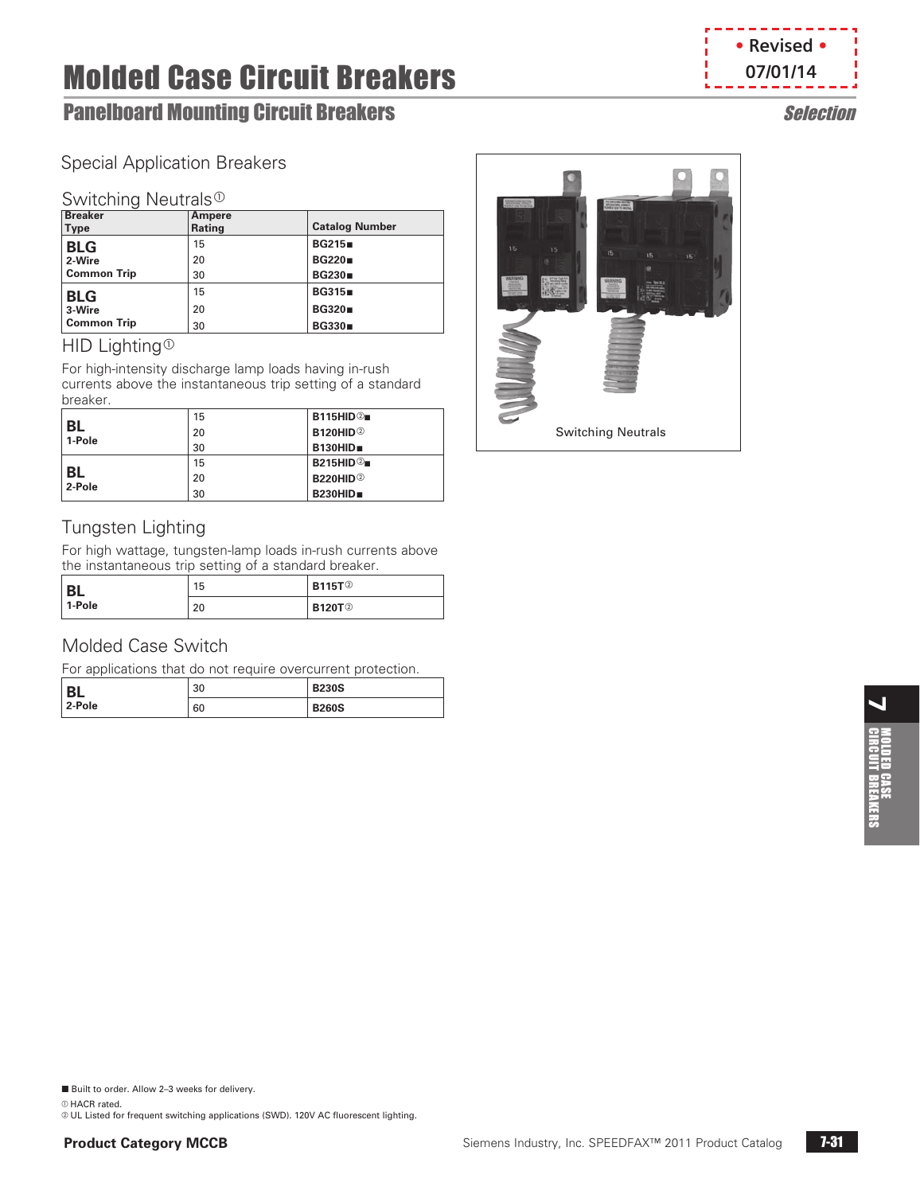# **Panelboard Mounting Circuit Breakers** Selection Selection

# Special Application Breakers

### Switching Neutrals<sup>®</sup>

| <b>Breaker</b>     | Ampere |                       |
|--------------------|--------|-----------------------|
| Type               | Rating | <b>Catalog Number</b> |
| <b>BLG</b>         | 15     | <b>BG215</b>          |
| 2-Wire             | 20     | <b>BG220</b>          |
| <b>Common Trip</b> | 30     | <b>BG230</b>          |
| <b>BLG</b>         | 15     | <b>BG315</b>          |
| 3-Wire             | 20     | <b>BG320</b>          |
| <b>Common Trip</b> | 30     | <b>BG330</b>          |

### HID Lighting<sup>®</sup>

For high-intensity discharge lamp loads having in-rush currents above the instantaneous trip setting of a standard breaker.

|                     | 15 | B115HID@                    |
|---------------------|----|-----------------------------|
| <b>BL</b><br>1-Pole | 20 | <b>B120HID</b> <sup>2</sup> |
|                     | 30 | B130HID                     |
|                     | 15 | B215HID@                    |
| <b>BL</b><br>2-Pole | 20 | <b>B220HID</b> <sup>2</sup> |
|                     | 30 | B230HID                     |

# Tungsten Lighting

For high wattage, tungsten-lamp loads in-rush currents above the instantaneous trip setting of a standard breaker.

| <b>BL</b> | 15 | <b>B115T</b> <sup>2</sup> |
|-----------|----|---------------------------|
| 1-Pole    | 20 | <b>B120T</b> <sup>2</sup> |

# Molded Case Switch

For applications that do not require overcurrent protection.

| <b>DI</b> | 30 | <b>B230S</b> |
|-----------|----|--------------|
| 2-Pole    | 60 | <b>B260S</b> |

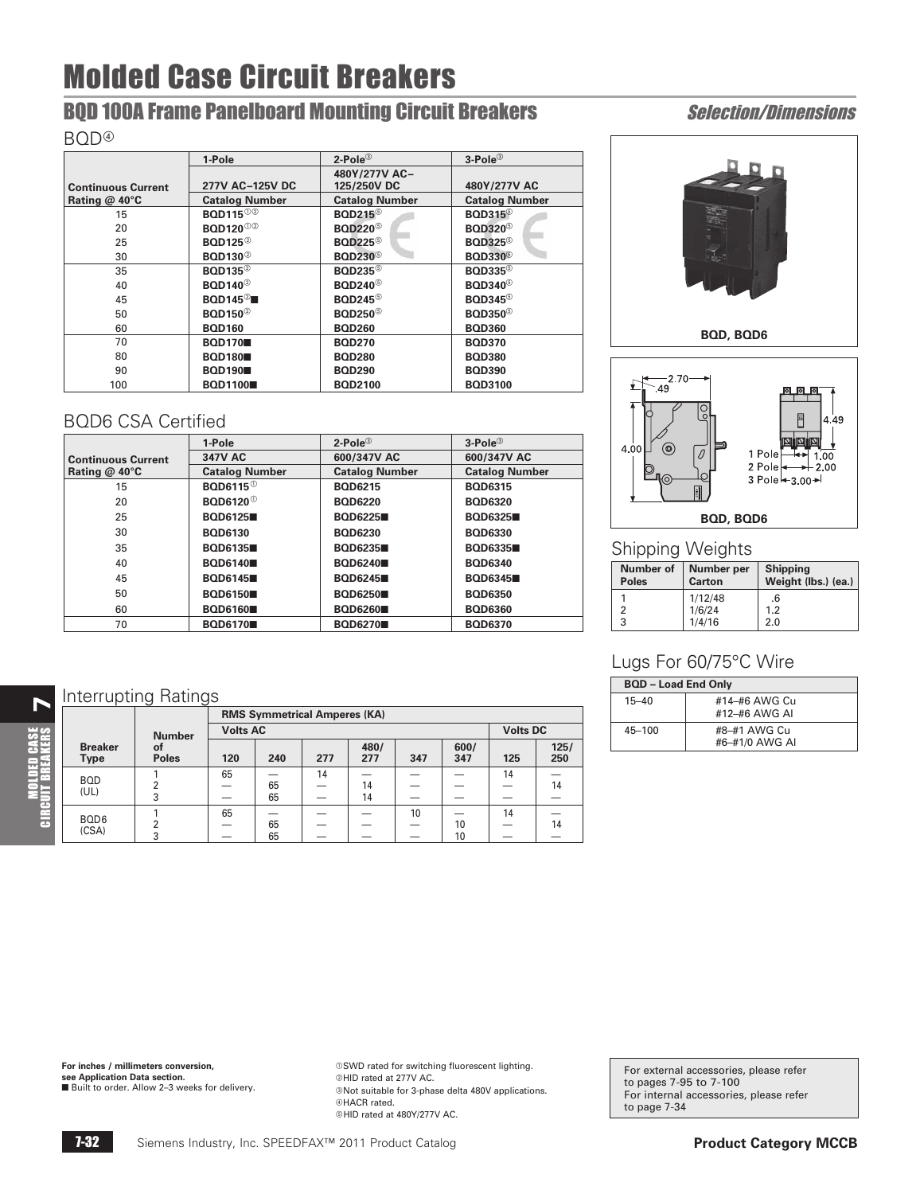# **BQD 100A Frame Panelboard Mounting Circuit Breakers Selection/Dimensions**

#### BQD<sup>@</sup>

|                           | 1-Pole                      | $2$ -Pole $^{\circ}$                  | 3-Pole <sup>3</sup>                   |
|---------------------------|-----------------------------|---------------------------------------|---------------------------------------|
|                           |                             | 480Y/277V AC-                         |                                       |
| <b>Continuous Current</b> | 277V AC-125V DC             | 125/250V DC                           | 480Y/277V AC                          |
| Rating @ 40°C             | <b>Catalog Number</b>       | <b>Catalog Number</b>                 | <b>Catalog Number</b>                 |
| 15                        | <b>BQD115</b> <sup>02</sup> | <b>BOD215</b> <sup>©</sup>            | <b>BQD315</b> <sup>©</sup>            |
| 20                        | <b>BOD120</b> <sup>02</sup> | <b>BOD220</b> <sup>o</sup>            | <b>BQD320</b> <sup>5</sup>            |
| 25                        | <b>BOD125</b> <sup>2</sup>  | <b>BOD225</b> <sup>6</sup>            | <b>BQD325</b> <sup><sup>6</sup></sup> |
| 30                        | <b>BOD130</b> <sup>2</sup>  | <b>BOD230</b> <sup>6</sup>            | <b>BQD330</b> <sup>©</sup>            |
| 35                        | <b>BOD135</b> <sup>2</sup>  | <b>BOD235</b> <sup><sup>6</sup></sup> | <b>BQD335</b> <sup><sup>6</sup></sup> |
| 40                        | <b>BOD140</b> <sup>2</sup>  | <b>BOD240</b> <sup>©</sup>            | <b>BOD340</b> <sup>©</sup>            |
| 45                        | $BOD145^{\circ}$            | <b>BOD245</b> <sup><sup>6</sup></sup> | <b>BQD345</b> <sup><sup>6</sup></sup> |
| 50                        | <b>BOD150</b> <sup>2</sup>  | <b>BOD250</b> <sup>o</sup>            | <b>BOD350</b> <sup><sup>6</sup></sup> |
| 60                        | <b>BOD160</b>               | <b>BOD260</b>                         | <b>BOD360</b>                         |
| 70                        | <b>BOD170</b>               | <b>BOD270</b>                         | <b>BQD370</b>                         |
| 80                        | <b>BOD180</b>               | <b>BOD280</b>                         | <b>BOD380</b>                         |
| 90                        | <b>BOD190</b>               | <b>BOD290</b>                         | <b>BQD390</b>                         |
| 100                       | <b>BOD1100</b>              | <b>BQD2100</b>                        | <b>BQD3100</b>                        |

# BQD6 CSA Certified

|                           | 1-Pole                                 | $2$ -Pole $^{\circledR}$ | $3-Pole^{\circled{\circ}}$ |  |
|---------------------------|----------------------------------------|--------------------------|----------------------------|--|
| <b>Continuous Current</b> | 347V AC                                | 600/347V AC              | 600/347V AC                |  |
| Rating $@$ 40 $°C$        | <b>Catalog Number</b>                  | <b>Catalog Number</b>    | <b>Catalog Number</b>      |  |
| 15                        | <b>BOD6115</b> <sup>0</sup>            | <b>BOD6215</b>           | <b>BOD6315</b>             |  |
| 20                        | <b>BOD6120</b> <sup><sup>0</sup></sup> | <b>BOD6220</b>           | <b>BOD6320</b>             |  |
| 25                        | <b>BOD6125</b>                         | <b>BOD6225</b>           | <b>BOD6325</b>             |  |
| 30                        | <b>BOD6130</b>                         | <b>BOD6230</b>           | <b>BOD6330</b>             |  |
| 35                        | <b>BOD6135</b>                         | <b>BOD6235</b>           | <b>BOD6335</b>             |  |
| 40                        | <b>BOD6140</b>                         | <b>BOD6240</b>           | <b>BOD6340</b>             |  |
| 45                        | <b>BOD6145</b>                         | <b>BOD6245</b>           | <b>BOD6345</b>             |  |
| 50                        | <b>BOD6150</b>                         | <b>BOD6250</b>           | <b>BOD6350</b>             |  |
| 60                        | <b>BOD6160</b>                         | <b>BOD6260</b>           | <b>BOD6360</b>             |  |
| 70                        | <b>BOD6170</b>                         | <b>BOD6270</b>           | <b>BQD6370</b>             |  |

# **N** Interrupting Ratings

**MOLDED CASE**<br>UIT BREAKERS

|                               | ັ<br>ັ             |                 |                                     |     |             |     |             |                 |             |
|-------------------------------|--------------------|-----------------|-------------------------------------|-----|-------------|-----|-------------|-----------------|-------------|
|                               |                    |                 | <b>RMS Symmetrical Amperes (KA)</b> |     |             |     |             |                 |             |
|                               | <b>Number</b>      | <b>Volts AC</b> |                                     |     |             |     |             | <b>Volts DC</b> |             |
| <b>Breaker</b><br><b>Type</b> | οf<br><b>Poles</b> | 120             | 240                                 | 277 | 480/<br>277 | 347 | 600/<br>347 | 125             | 125/<br>250 |
| <b>BOD</b>                    |                    | 65              |                                     | 14  |             |     |             | 14              |             |
| (UL)                          |                    |                 | 65                                  |     | 14          |     |             |                 | 14          |
|                               | 3                  |                 | 65                                  |     | 14          |     |             |                 |             |
| BQD <sub>6</sub>              |                    | 65              |                                     |     |             | 10  |             | 14              |             |
| (CSA)                         | ົ                  |                 | 65                                  |     |             |     | 10          |                 | 14          |
|                               | 3                  |                 | 65                                  |     |             |     | 10          |                 |             |





## Shipping Weights

| <b>Number of</b><br><b>Poles</b> | Number per<br><b>Carton</b> | <b>Shipping</b><br>Weight (lbs.) (ea.) |
|----------------------------------|-----------------------------|----------------------------------------|
|                                  | 1/12/48                     | .6                                     |
| っ                                | 1/6/24                      | 1.2                                    |
| 3                                | 1/4/16                      | 2.0                                    |

# Lugs For 60/75°C Wire

| <b>BQD - Load End Only</b> |                                |  |  |  |
|----------------------------|--------------------------------|--|--|--|
| $15 - 40$                  | #14-#6 AWG Cu<br>#12-#6 AWG AI |  |  |  |
| $45 - 100$                 | #8-#1 AWG Cu<br>#6-#1/0 AWG AI |  |  |  |

**For inches / millimeters conversion, see Application Data section.**<br>■ Built to order. Allow 2–3 weeks for delivery.  $\circ$ SWD rated for switching fluorescent lighting. @HID rated at 277V AC. <sup>®</sup>Not suitable for 3-phase delta 480V applications. dHACR rated. eHID rated at 480Y/277V AC.

For external accessories, please refer to pages 7-95 to 7-100 For internal accessories, please refer to page [7-34](#page-5-0)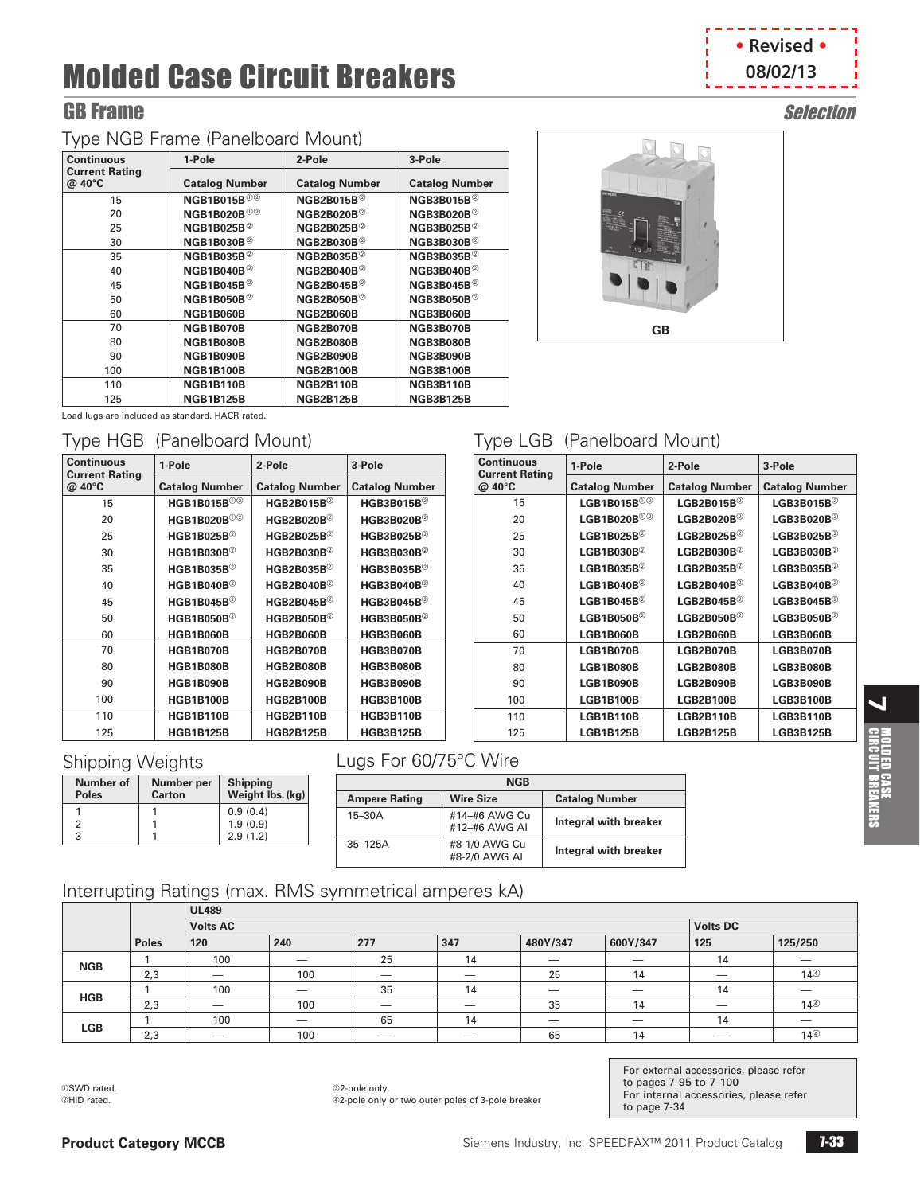# GB Frame Selection

# Type NGB Frame (Panelboard Mount)

| <b>Continuous</b>               | 1-Pole                         | 2-Pole                     | 3-Pole                     |
|---------------------------------|--------------------------------|----------------------------|----------------------------|
| <b>Current Rating</b><br>@ 40°C | <b>Catalog Number</b>          | <b>Catalog Number</b>      | <b>Catalog Number</b>      |
| 15                              | <b>NGB1B015B</b> <sup>02</sup> | $NGB2B015B^{\circledcirc}$ | NGB3B015B $^{\circ}$       |
| 20                              | <b>NGB1B020B</b> <sup>02</sup> | $NGB2B020B^{\circledcirc}$ | NGB3B020B $^{\circ}$       |
| 25                              | NGB1B025B $^{\circ}$           | NGB2B025B $^{\circ}$       | NGB3B025B $^{\circ}$       |
| 30                              | $NGB1B030B^{\circledcirc}$     | $NGB2B030B^{\circledcirc}$ | $NGB3B030B^{\circledcirc}$ |
| 35                              | <b>NGB1B035B</b> <sup>2</sup>  | $NGB2B035B^{\circledcirc}$ | NGB3B035B $@$              |
| 40                              | NGB1B040B $^{\circ}$           | $NGB2B040B^{\circledcirc}$ | NGB3B040B $^{\circ}$       |
| 45                              | NGB1B045B $^{\circ}$           | $NGB2B045B^{\circledcirc}$ | NGB3B045B $^{\circ}$       |
| 50                              | NGB1B050B $^{\circ}$           | $NGB2B050B^{\circledcirc}$ | NGB3B050B $^{\circ}$       |
| 60                              | <b>NGB1B060B</b>               | NGB2B060B                  | <b>NGB3B060B</b>           |
| 70                              | NGB1B070B                      | NGB2B070B                  | NGB3B070B                  |
| 80                              | <b>NGB1B080B</b>               | NGB2B080B                  | <b>NGB3B080B</b>           |
| 90                              | NGB1B090B                      | NGB2B090B                  | NGB3B090B                  |
| 100                             | <b>NGB1B100B</b>               | <b>NGB2B100B</b>           | <b>NGB3B100B</b>           |
| 110                             | <b>NGB1B110B</b>               | <b>NGB2B110B</b>           | <b>NGB3B110B</b>           |
| 125                             | <b>NGB1B125B</b>               | <b>NGB2B125B</b>           | <b>NGB3B125B</b>           |

**1-Pole 2-Pole 3-Pole**

**HGB1B015B<sup>o</sup> HGB2B015B**<sup>o</sup> **HGB3B015B**<sup>o</sup> **HGB1B020B**<sup>0@</sup> **HGB2B020B**<sup>@</sup> **HGB3B020B**<sup>@</sup> **HGB1B025B**<sup>®</sup> **HGB2B025B**<sup>®</sup> **HGB3B025B**<sup>®</sup> **HGB1B030B**<sup>2</sup> **HGB2B030B**<sup>2</sup> **HGB3B030B**<sup>2</sup> **HGB1B035B**<sup>®</sup> **HGB2B035B**<sup>®</sup> **HGB3B035B**<sup>®</sup> **HGB1B040B**<sup>2</sup> **HGB2B040B**<sup>2</sup> **HGB3B040B**<sup>2</sup> **HGB1B045B**<sup>b</sup> **HGB2B045B**<sup>b</sup> **HGB3B045B**<sup>b</sup> **HGB1B050B**<sup>b</sup> **HGB2B050B**<sup>b</sup> **HGB3B050B**<sup>b</sup> **HGB1B060B HGB2B060B HGB3B060B HGB1B070B HGB2B070B HGB3B070B HGB1B080B HGB2B080B HGB3B080B HGB1B090B HGB2B090B HGB3B090B HGB1B100B HGB2B100B HGB3B100B HGB1B110B HGB2B110B HGB3B110B HGB1B125B HGB2B125B HGB3B125B**

**Catalog Number Catalog Number Catalog Number**





## Type LGB (Panelboard Mount)

| <b>Continuous</b><br><b>Current Rating</b> | 1-Pole                     | 2-Pole                           | 3-Pole                     |
|--------------------------------------------|----------------------------|----------------------------------|----------------------------|
| @ 40°C                                     | <b>Catalog Number</b>      | <b>Catalog Number</b>            | <b>Catalog Number</b>      |
| 15                                         | LGB1B015B $00$             | LGB2B015B $^{\circ}$             | LGB3B015B $^{\circ}$       |
| 20                                         | LGB1B020B000               | ${\sf LGB2B020B^{\odot}}$        | $LGB3B020B^{\circledcirc}$ |
| 25                                         | $LGB1B025B^{\circledcirc}$ | ${\sf LGB2B025B^{\odot}}$        | $LGB3B025B^{\circledcirc}$ |
| 30                                         | LGB1B030B $^{\circ}$       | $LGB2B030B^{\circledcirc}$       | $LGB3B030B^{\circledcirc}$ |
| 35                                         | LGB1B035B $^{\circ}$       | $LGB2B035B^{\circledcirc}$       | LGB3B035B $^{\circ}$       |
| 40                                         | $LGB1B040B^{\circledcirc}$ | ${\sf LGB2B040B^{\odot}}$        | $LGB3B040B^{\circledcirc}$ |
| 45                                         | LGB1B045B $^{\circ}$       | ${\sf LGB2B045B^{\circledcirc}}$ | $LGB3B045B^{\circledcirc}$ |
| 50                                         | $LGB1B050B^{\circledcirc}$ | $LGB2B050B^{\circledcirc}$       | $LGB3B050B^{\circledcirc}$ |
| 60                                         | <b>LGB1B060B</b>           | <b>LGB2B060B</b>                 | <b>LGB3B060B</b>           |
| 70                                         | <b>LGB1B070B</b>           | LGB2B070B                        | <b>LGB3B070B</b>           |
| 80                                         | <b>LGB1B080B</b>           | <b>LGB2B080B</b>                 | <b>LGB3B080B</b>           |
| 90                                         | <b>LGB1B090B</b>           | LGB2B090B                        | <b>LGB3B090B</b>           |
| 100                                        | <b>LGB1B100B</b>           | <b>LGB2B100B</b>                 | <b>LGB3B100B</b>           |
| 110                                        | <b>LGB1B110B</b>           | <b>LGB2B110B</b>                 | <b>LGB3B110B</b>           |
| 125                                        | <b>LGB1B125B</b>           | <b>LGB2B125B</b>                 | <b>LGB3B125B</b>           |

### Shipping Weights

Load lugs are included as standard. HACR rated.

**Continuous Current Rating @ 40°C**

Type HGB (Panelboard Mount)

| <b>Number of</b><br><b>Poles</b> | Number per<br><b>Carton</b> | <b>Shipping</b><br>Weight lbs. (kg) |
|----------------------------------|-----------------------------|-------------------------------------|
|                                  |                             | 0.9(0.4)                            |
|                                  |                             | 1.9(0.9)                            |
| 3                                |                             | 2.9(1.2)                            |

# Lugs For 60/75°C Wire

| <b>NGB</b>           |                                |                       |  |  |  |
|----------------------|--------------------------------|-----------------------|--|--|--|
| <b>Ampere Rating</b> | <b>Wire Size</b>               | <b>Catalog Number</b> |  |  |  |
| $15-30A$             | #14-#6 AWG Cu<br>#12-#6 AWG AI | Integral with breaker |  |  |  |
| $35 - 125A$          | #8-1/0 AWG Cu<br>#8-2/0 AWG AI | Integral with breaker |  |  |  |

### Interrupting Ratings (max. RMS symmetrical amperes kA)

|            | $\tilde{\phantom{a}}$ |                 |                          |                                 |                          |          |          |     |                          |  |
|------------|-----------------------|-----------------|--------------------------|---------------------------------|--------------------------|----------|----------|-----|--------------------------|--|
|            |                       | <b>UL489</b>    |                          |                                 |                          |          |          |     |                          |  |
|            |                       | <b>Volts AC</b> |                          |                                 | <b>Volts DC</b>          |          |          |     |                          |  |
|            | <b>Poles</b>          | 120             | 240                      | 277                             | 347                      | 480Y/347 | 600Y/347 | 125 | 125/250                  |  |
| <b>NGB</b> |                       | 100             | $\overline{\phantom{a}}$ | 25                              | 14                       |          | _        | 14  |                          |  |
|            | 2,3                   | _               | 100                      | $\overline{\phantom{a}}$        | $\overline{\phantom{a}}$ | 25       | 14       | _   | 14 <sup>①</sup>          |  |
| <b>HGB</b> |                       | 100             |                          | 35                              | 14                       |          |          | 14  |                          |  |
|            | 2,3                   |                 | 100                      | $\hspace{0.1mm}-\hspace{0.1mm}$ |                          | 35       | 14       |     | 14 <sup>①</sup>          |  |
| <b>LGB</b> |                       | 100             | $\overline{\phantom{a}}$ | 65                              | 14                       | _        | _        | 14  | $\overline{\phantom{a}}$ |  |
|            | 2,3                   |                 | 100                      | _                               | _                        | 65       | 14       |     | $14^\circledcirc$        |  |

aSWD rated. bHID rated.

<sup>32-pole</sup> only. d2-pole only or two outer poles of 3-pole breaker For external accessories, please refer to pages 7-95 to 7-100 For internal accessories, please refer to page [7-34](#page-5-0)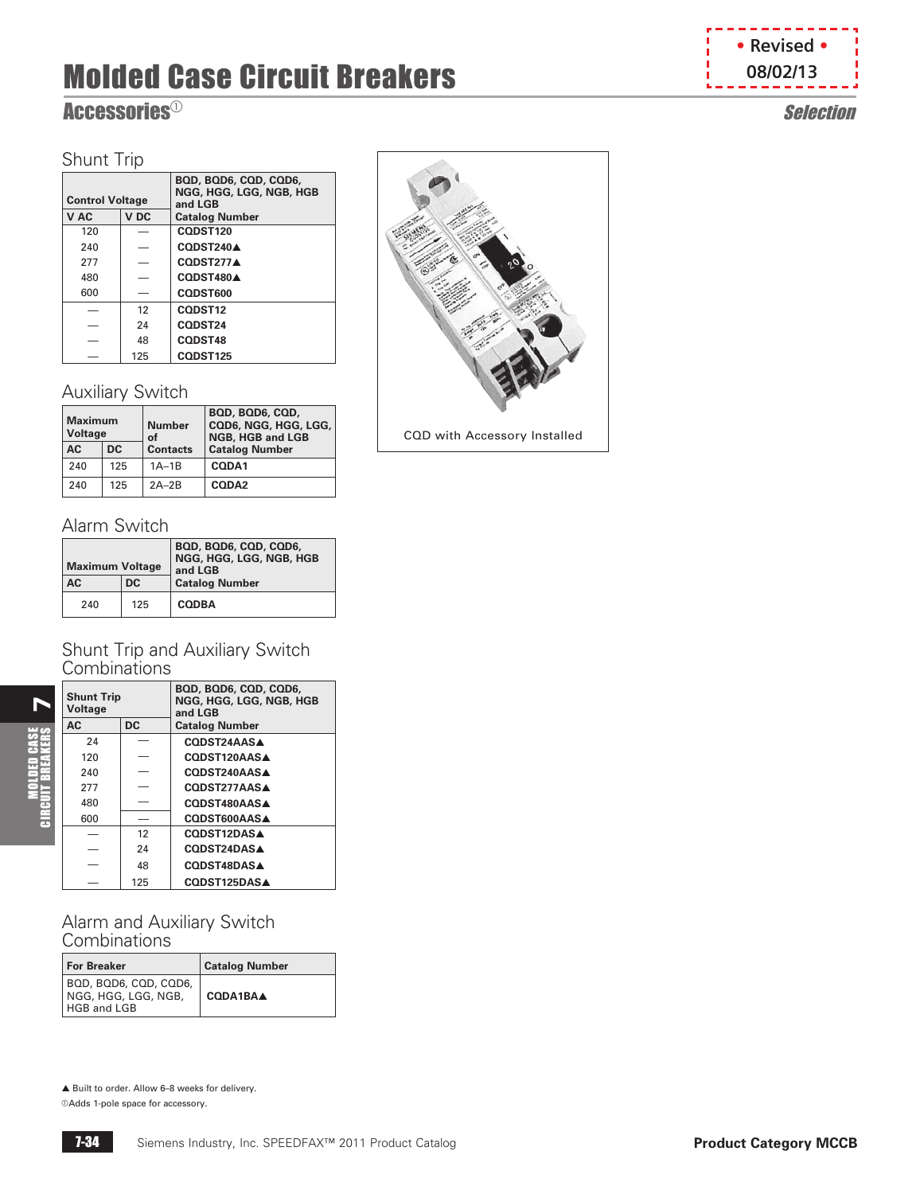# <span id="page-5-0"></span> $\mathbf{Accessories}^{\odot}$  Selection

# Shunt Trip

| . <del>.</del>          |     |                                                             |
|-------------------------|-----|-------------------------------------------------------------|
| <b>Control Voltage</b>  |     | BQD, BQD6, CQD, CQD6,<br>NGG, HGG, LGG, NGB, HGB<br>and LGB |
| V <sub>DC</sub><br>V AC |     | <b>Catalog Number</b>                                       |
| 120                     |     | CODST120                                                    |
| 240                     |     | CODST240A                                                   |
| 277                     |     | CODST277A                                                   |
| 480                     |     | CODST480A                                                   |
| 600                     |     | CODST600                                                    |
|                         | 12  | CODST12                                                     |
|                         | 24  | CODST24                                                     |
|                         | 48  | <b>CODST48</b>                                              |
|                         | 125 | CQDST125                                                    |

# Auxiliary Switch

| <b>Maximum</b><br>Voltage |     | <b>Number</b><br>Ωf | BQD, BQD6, CQD,<br>CQD6, NGG, HGG, LGG,<br><b>NGB, HGB and LGB</b> |
|---------------------------|-----|---------------------|--------------------------------------------------------------------|
| <b>AC</b>                 | DC. | <b>Contacts</b>     | <b>Catalog Number</b>                                              |
| 240                       | 125 | $1A-1B$             | CODA1                                                              |
| 240                       | 125 | $2A-2B$             | CODA <sub>2</sub>                                                  |

# Alarm Switch

 $\blacktriangleright$ 

MOLDED CASE CIRCUIT BREAKERS

| <b>Maximum Voltage</b><br>AC<br>D <sub>C</sub> |     | BOD, BOD6, COD, COD6,<br>NGG, HGG, LGG, NGB, HGB<br>and LGB<br><b>Catalog Number</b> |
|------------------------------------------------|-----|--------------------------------------------------------------------------------------|
| 240                                            | 125 | <b>CODBA</b>                                                                         |

#### Shunt Trip and Auxiliary Switch **Combinations**

| <b>Shunt Trip</b><br>Voltage |           | BQD, BQD6, CQD, CQD6,<br>NGG, HGG, LGG, NGB, HGB<br>and LGB |
|------------------------------|-----------|-------------------------------------------------------------|
| AC                           | <b>DC</b> | <b>Catalog Number</b>                                       |
| 24                           |           | CODST24AASA                                                 |
| 120                          |           | CODST120AASA                                                |
| 240                          |           | CODST240AASA                                                |
| 277                          |           | CODST277AASA                                                |
| 480                          |           | CODST480AASA                                                |
| 600                          |           | <b>CODST600AASA</b>                                         |
|                              | 12        | CODST12DASA                                                 |
|                              | 24        | CODST24DASA                                                 |
|                              | 48        | CODST48DAS▲                                                 |
|                              | 125       | CODST125DASA                                                |

Alarm and Auxiliary Switch **Combinations** 

| <b>For Breaker</b>                                          | <b>Catalog Number</b> |
|-------------------------------------------------------------|-----------------------|
| BQD, BQD6, CQD, CQD6,<br>NGG, HGG, LGG, NGB,<br>HGB and LGB | CODA1BAA              |

▲ Built to order. Allow 6–8 weeks for delivery.

 $@Adds$  1-pole space for accessory.





CQD with Accessory Installed

**• Revised • 08/02/13**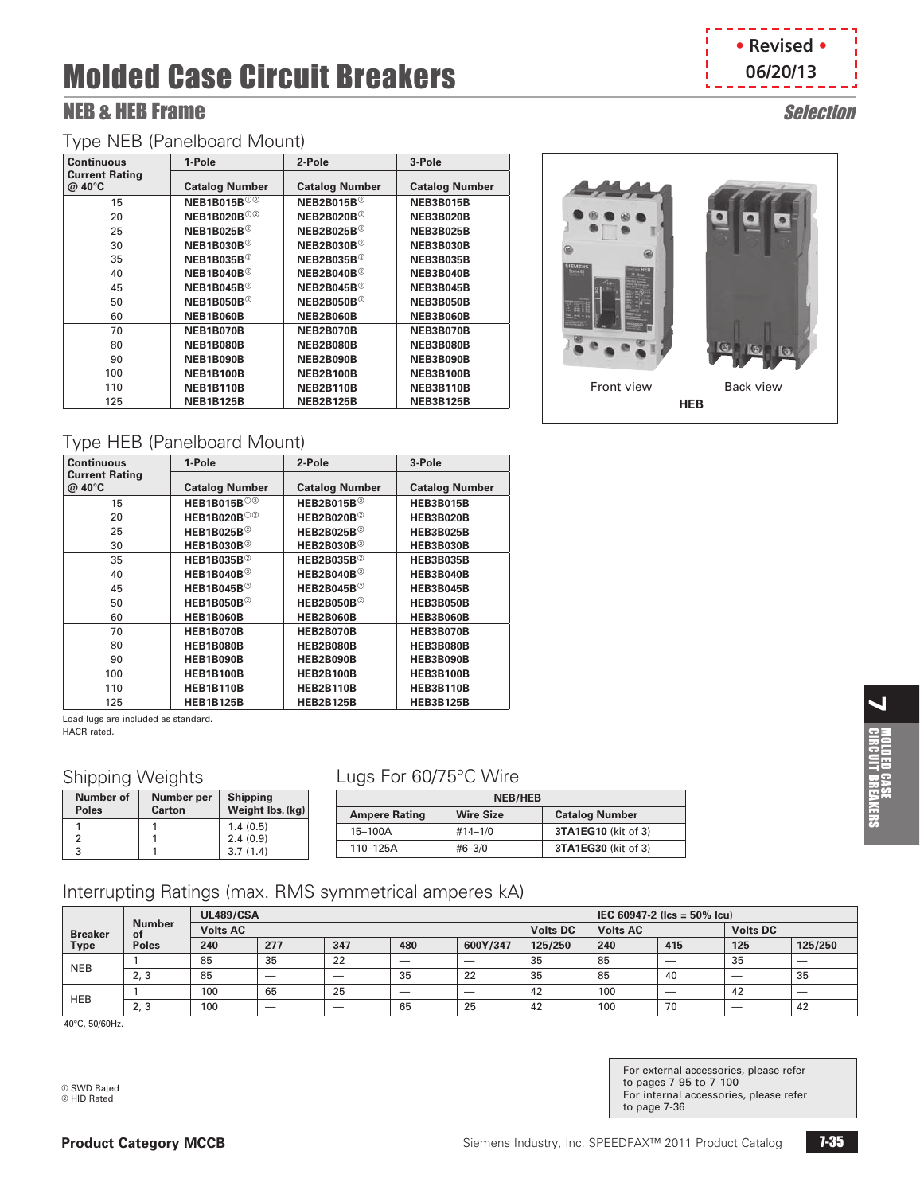# NEB & HEB Frame Selection

#### Type NEB (Panelboard Mount)

| <b>Continuous</b>               | 1-Pole                         | 2-Pole                        | 3-Pole                |
|---------------------------------|--------------------------------|-------------------------------|-----------------------|
| <b>Current Rating</b><br>@ 40°C | <b>Catalog Number</b>          | <b>Catalog Number</b>         | <b>Catalog Number</b> |
| 15                              | <b>NEB1B015B</b> <sup>02</sup> | <b>NEB2B015B</b> <sup>2</sup> | <b>NEB3B015B</b>      |
| 20                              | <b>NEB1B020B</b> <sup>02</sup> | NEB2B020B $^{\circ}$          | <b>NEB3B020B</b>      |
| 25                              | NEB1B025B $^{\circ}$           | NEB2B025B $^{\circ}$          | <b>NEB3B025B</b>      |
| 30                              | NEB1B030B $^{\circ}$           | NEB2B030B $^{\circ}$          | <b>NEB3B030B</b>      |
| 35                              | NEB1B035B $^{\circ}$           | NEB2B035B $^{\circ}$          | <b>NEB3B035B</b>      |
| 40                              | NEB1B040B $^{\circ}$           | NEB2B040B $^{\circ}$          | NEB3B040B             |
| 45                              | NEB1B045B $^{\circ}$           | NEB2B045B $^{\circ}$          | <b>NEB3B045B</b>      |
| 50                              | NEB1B050B $^{\circ}$           | NEB2B050B $^{\circ}$          | <b>NEB3B050B</b>      |
| 60                              | NEB1B060B                      | NEB2B060B                     | NEB3B060B             |
| 70                              | NEB1B070B                      | NEB2B070B                     | <b>NEB3B070B</b>      |
| 80                              | <b>NEB1B080B</b>               | <b>NEB2B080B</b>              | <b>NEB3B080B</b>      |
| 90                              | NEB1B090B                      | NEB2B090B                     | NEB3B090B             |
| 100                             | <b>NEB1B100B</b>               | <b>NEB2B100B</b>              | <b>NEB3B100B</b>      |
| 110                             | <b>NEB1B110B</b>               | NEB2B110B                     | <b>NEB3B110B</b>      |
| 125                             | <b>NEB1B125B</b>               | <b>NEB2B125B</b>              | <b>NEB3B125B</b>      |

# **• Revised • 06/20/13**



# Type HEB (Panelboard Mount)

| <b>Continuous</b>               | 1-Pole                         | 2-Pole                     | 3-Pole                |
|---------------------------------|--------------------------------|----------------------------|-----------------------|
| <b>Current Rating</b><br>@ 40°C | <b>Catalog Number</b>          | <b>Catalog Number</b>      | <b>Catalog Number</b> |
| 15                              | <b>HEB1B015B</b> <sup>02</sup> | HEB2B015B $^{\circ}$       | <b>HEB3B015B</b>      |
| 20                              | <b>HEB1B020B</b> <sup>02</sup> | HEB2B020B $^{\circ}$       | <b>HEB3B020B</b>      |
| 25                              | HEB1B025B $^{\circ}$           | $HEB2B025B^{\circledcirc}$ | <b>HEB3B025B</b>      |
| 30                              | HEB1B030B $^{\circ}$           | HEB2B030B $^{\circ}$       | <b>HEB3B030B</b>      |
| 35                              | HEB1B035B $^{\circ}$           | HEB2B035B $^{\circ}$       | <b>HEB3B035B</b>      |
| 40                              | HEB1B040B $^{\circ}$           | $HEB2B040B^{\circledcirc}$ | <b>HEB3B040B</b>      |
| 45                              | HEB1B045B $@$                  | $HEB2B045B^{\circledcirc}$ | <b>HEB3B045B</b>      |
| 50                              | HEB1B050B $^{\circ}$           | HEB2B050B $^{\circ}$       | <b>HEB3B050B</b>      |
| 60                              | <b>HEB1B060B</b>               | HEB2B060B                  | <b>HEB3B060B</b>      |
| 70                              | <b>HEB1B070B</b>               | <b>HEB2B070B</b>           | <b>HEB3B070B</b>      |
| 80                              | <b>HEB1B080B</b>               | <b>HEB2B080B</b>           | <b>HEB3B080B</b>      |
| 90                              | <b>HEB1B090B</b>               | <b>HEB2B090B</b>           | <b>HEB3B090B</b>      |
| 100                             | <b>HEB1B100B</b>               | <b>HEB2B100B</b>           | <b>HEB3B100B</b>      |
| 110                             | <b>HEB1B110B</b>               | <b>HEB2B110B</b>           | <b>HEB3B110B</b>      |
| 125                             | <b>HEB1B125B</b>               | <b>HEB2B125B</b>           | <b>HEB3B125B</b>      |

Load lugs are included as standard.

HACR rated.

#### Shipping Weights

| Number of<br><b>Poles</b> | Number per<br><b>Carton</b> | <b>Shipping</b><br>Weight lbs. (kg) |  |
|---------------------------|-----------------------------|-------------------------------------|--|
|                           |                             | 1.4(0.5)                            |  |
|                           |                             | 2.4(0.9)                            |  |
| 3                         |                             | 3.7(1.4)                            |  |

# Lugs For 60/75°C Wire

| <b>NEB/HEB</b>       |                  |                            |  |  |  |
|----------------------|------------------|----------------------------|--|--|--|
| <b>Ampere Rating</b> | <b>Wire Size</b> | <b>Catalog Number</b>      |  |  |  |
| 15-100A              | $#14 - 1/0$      | <b>3TA1EG10</b> (kit of 3) |  |  |  |
| 110-125A             | $#6 - 3/0$       | <b>3TA1EG30</b> (kit of 3) |  |  |  |

# Interrupting Ratings (max. RMS symmetrical amperes kA)

|                |                            | <b>UL489/CSA</b> |                          |                          |                          |                          | $IEC 60947-2$ (lcs = 50% lcu) |                 |     |                          |                          |
|----------------|----------------------------|------------------|--------------------------|--------------------------|--------------------------|--------------------------|-------------------------------|-----------------|-----|--------------------------|--------------------------|
| <b>Breaker</b> | <b>Number</b><br><b>of</b> | <b>Volts AC</b>  |                          |                          |                          |                          | <b>Volts DC</b>               | <b>Volts AC</b> |     | <b>Volts DC</b>          |                          |
| Type           | <b>Poles</b>               | 240              | 277                      | 347                      | 480                      | 600Y/347                 | 125/250                       | 240             | 415 | 125                      | 125/250                  |
| <b>NEB</b>     |                            | 85               | 35                       | 22                       | $\overline{\phantom{a}}$ | $\overline{\phantom{a}}$ | 35                            | 85              | _   | 35                       | $\overline{\phantom{a}}$ |
|                | 2,3                        | 85               | $\overline{\phantom{a}}$ | $\overline{\phantom{a}}$ | 35                       | 22                       | 35                            | 85              | 40  | $\overline{\phantom{a}}$ | 35                       |
| <b>HEB</b>     |                            | 100              | 65                       | 25                       | $\overline{\phantom{a}}$ | $\overline{\phantom{a}}$ | 42                            | 100             | _   | 42                       | $\overline{\phantom{a}}$ |
|                | 2, 3                       | 100              | $\overline{\phantom{a}}$ | $\overline{\phantom{a}}$ | 65                       | 25                       | 42                            | 100             | 70  | $\overline{\phantom{a}}$ | 42                       |

40°C, 50/60Hz.

a SWD Rated **D** HID Rated

For external accessories, please refer to pages 7-95 to 7-100 For internal accessories, please refer to page [7-36](#page-7-0)

 $\blacktriangleleft$